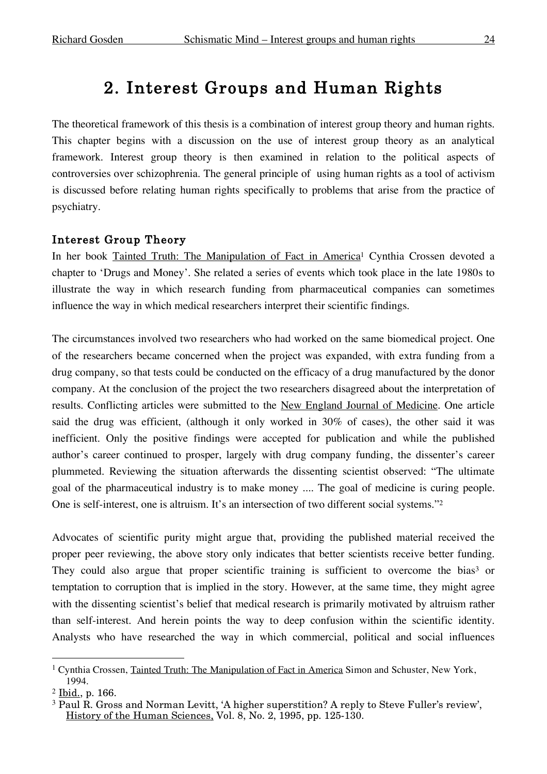# 2. Interest Groups and Human Rights

The theoretical framework of this thesis is a combination of interest group theory and human rights. This chapter begins with a discussion on the use of interest group theory as an analytical framework. Interest group theory is then examined in relation to the political aspects of controversies over schizophrenia. The general principle of using human rights as a tool of activism is discussed before relating human rights specifically to problems that arise from the practice of psychiatry.

#### Interest Group Theory

In her book Tainted Truth: The Manipulation of Fact in America<sup>1</sup> Cynthia Crossen devoted a chapter to 'Drugs and Money'. She related a series of events which took place in the late 1980s to illustrate the way in which research funding from pharmaceutical companies can sometimes influence the way in which medical researchers interpret their scientific findings.

The circumstances involved two researchers who had worked on the same biomedical project. One of the researchers became concerned when the project was expanded, with extra funding from a drug company, so that tests could be conducted on the efficacy of a drug manufactured by the donor company. At the conclusion of the project the two researchers disagreed about the interpretation of results. Conflicting articles were submitted to the New England Journal of Medicine. One article said the drug was efficient, (although it only worked in 30% of cases), the other said it was inefficient. Only the positive findings were accepted for publication and while the published author's career continued to prosper, largely with drug company funding, the dissenter's career plummeted. Reviewing the situation afterwards the dissenting scientist observed: "The ultimate goal of the pharmaceutical industry is to make money .... The goal of medicine is curing people. One is self-interest, one is altruism. It's an intersection of two different social systems."2

Advocates of scientific purity might argue that, providing the published material received the proper peer reviewing, the above story only indicates that better scientists receive better funding. They could also argue that proper scientific training is sufficient to overcome the bias<sup>3</sup> or temptation to corruption that is implied in the story. However, at the same time, they might agree with the dissenting scientist's belief that medical research is primarily motivated by altruism rather than self-interest. And herein points the way to deep confusion within the scientific identity. Analysts who have researched the way in which commercial, political and social influences

<sup>&</sup>lt;sup>1</sup> Cynthia Crossen, Tainted Truth: The Manipulation of Fact in America Simon and Schuster, New York, 1994.

<sup>2</sup> Ibid., p. 166.

<sup>3</sup> Paul R. Gross and Norman Levitt, 'A higher superstition? A reply to Steve Fuller's review', History of the Human Sciences, Vol. 8, No. 2, 1995, pp. 125-130.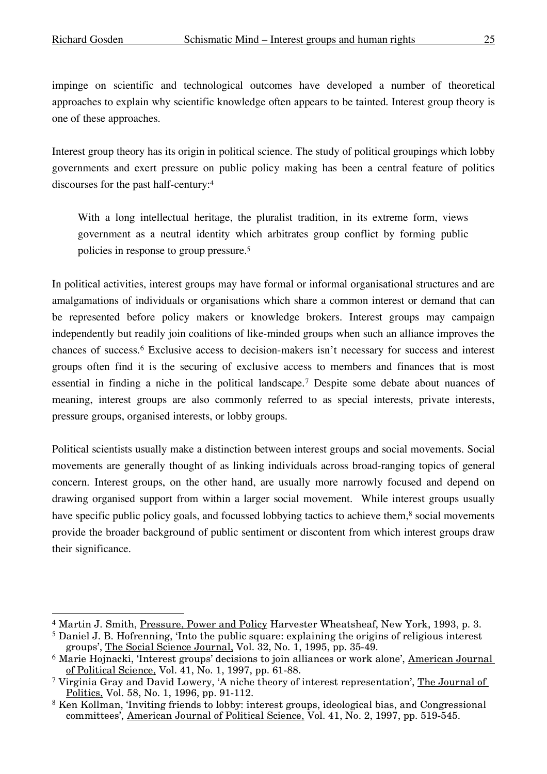impinge on scientific and technological outcomes have developed a number of theoretical approaches to explain why scientific knowledge often appears to be tainted. Interest group theory is one of these approaches.

Interest group theory has its origin in political science. The study of political groupings which lobby governments and exert pressure on public policy making has been a central feature of politics discourses for the past half-century:4

With a long intellectual heritage, the pluralist tradition, in its extreme form, views government as a neutral identity which arbitrates group conflict by forming public policies in response to group pressure. 5

In political activities, interest groups may have formal or informal organisational structures and are amalgamations of individuals or organisations which share a common interest or demand that can be represented before policy makers or knowledge brokers. Interest groups may campaign independently but readily join coalitions of like-minded groups when such an alliance improves the chances of success.6 Exclusive access to decision-makers isn't necessary for success and interest groups often find it is the securing of exclusive access to members and finances that is most essential in finding a niche in the political landscape.7 Despite some debate about nuances of meaning, interest groups are also commonly referred to as special interests, private interests, pressure groups, organised interests, or lobby groups.

Political scientists usually make a distinction between interest groups and social movements. Social movements are generally thought of as linking individuals across broad-ranging topics of general concern. Interest groups, on the other hand, are usually more narrowly focused and depend on drawing organised support from within a larger social movement. While interest groups usually have specific public policy goals, and focussed lobbying tactics to achieve them,<sup>8</sup> social movements provide the broader background of public sentiment or discontent from which interest groups draw their significance.

 <sup>4</sup> Martin J. Smith, Pressure, Power and Policy Harvester Wheatsheaf, New York, 1993, p. 3.

<sup>5</sup> Daniel J. B. Hofrenning, 'Into the public square: explaining the origins of religious interest groups', The Social Science Journal, Vol. 32, No. 1, 1995, pp. 35-49.

<sup>&</sup>lt;sup>6</sup> Marie Hojnacki, 'Interest groups' decisions to join alliances or work alone', American Journal of Political Science, Vol. 41, No. 1, 1997, pp. 61-88.

<sup>7</sup> Virginia Gray and David Lowery, 'A niche theory of interest representation', The Journal of Politics, Vol. 58, No. 1, 1996, pp. 91-112.

<sup>8</sup> Ken Kollman, 'Inviting friends to lobby: interest groups, ideological bias, and Congressional committees', American Journal of Political Science, Vol. 41, No. 2, 1997, pp. 519-545.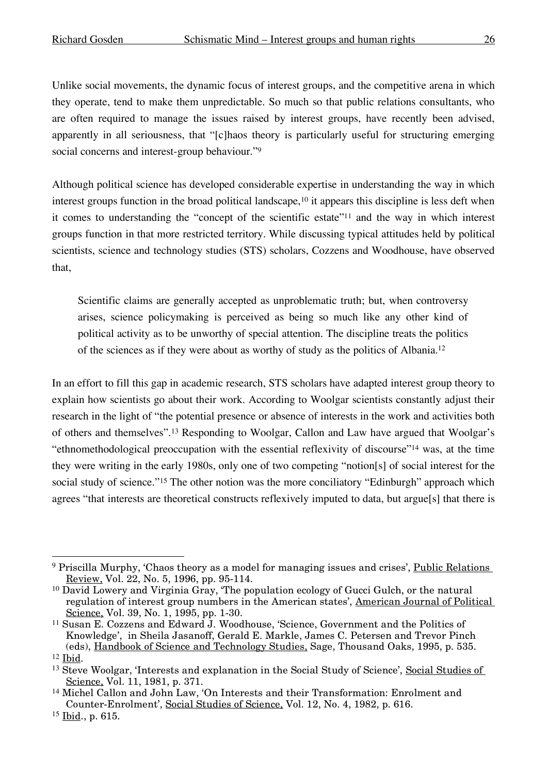Unlike social movements, the dynamic focus of interest groups, and the competitive arena in which they operate, tend to make them unpredictable. So much so that public relations consultants, who are often required to manage the issues raised by interest groups, have recently been advised, apparently in all seriousness, that "[c]haos theory is particularly useful for structuring emerging social concerns and interest-group behaviour."9

Although political science has developed considerable expertise in understanding the way in which interest groups function in the broad political landscape,<sup>10</sup> it appears this discipline is less deft when it comes to understanding the "concept of the scientific estate"11 and the way in which interest groups function in that more restricted territory. While discussing typical attitudes held by political scientists, science and technology studies (STS) scholars, Cozzens and Woodhouse, have observed that,

Scientific claims are generally accepted as unproblematic truth; but, when controversy arises, science policymaking is perceived as being so much like any other kind of political activity as to be unworthy of special attention. The discipline treats the politics of the sciences as if they were about as worthy of study as the politics of Albania. 12

In an effort to fill this gap in academic research, STS scholars have adapted interest group theory to explain how scientists go about their work. According to Woolgar scientists constantly adjust their research in the light of "the potential presence or absence of interests in the work and activities both of others and themselves".13 Responding to Woolgar, Callon and Law have argued that Woolgar's "ethnomethodological preoccupation with the essential reflexivity of discourse"14 was, at the time they were writing in the early 1980s, only one of two competing "notion[s] of social interest for the social study of science."<sup>15</sup> The other notion was the more conciliatory "Edinburgh" approach which agrees "that interests are theoretical constructs reflexively imputed to data, but argue[s] that there is

<sup>&</sup>lt;sup>9</sup> Priscilla Murphy, 'Chaos theory as a model for managing issues and crises', Public Relations Review, Vol. 22, No. 5, 1996, pp. 95-114.

<sup>10</sup> David Lowery and Virginia Gray, 'The population ecology of Gucci Gulch, or the natural regulation of interest group numbers in the American states', American Journal of Political Science, Vol. 39, No. 1, 1995, pp. 1-30.

<sup>11</sup> Susan E. Cozzens and Edward J. Woodhouse, 'Science, Government and the Politics of Knowledge', in Sheila Jasanoff, Gerald E. Markle, James C. Petersen and Trevor Pinch (eds), Handbook of Science and Technology Studies, Sage, Thousand Oaks, 1995, p. 535.

 $12$  Ibid.

<sup>&</sup>lt;sup>13</sup> Steve Woolgar, 'Interests and explanation in the Social Study of Science', Social Studies of Science, Vol. 11, 1981, p. 371.

<sup>14</sup> Michel Callon and John Law, 'On Interests and their Transformation: Enrolment and Counter-Enrolment', Social Studies of Science, Vol. 12, No. 4, 1982, p. 616.

 $15$  Ibid., p. 615.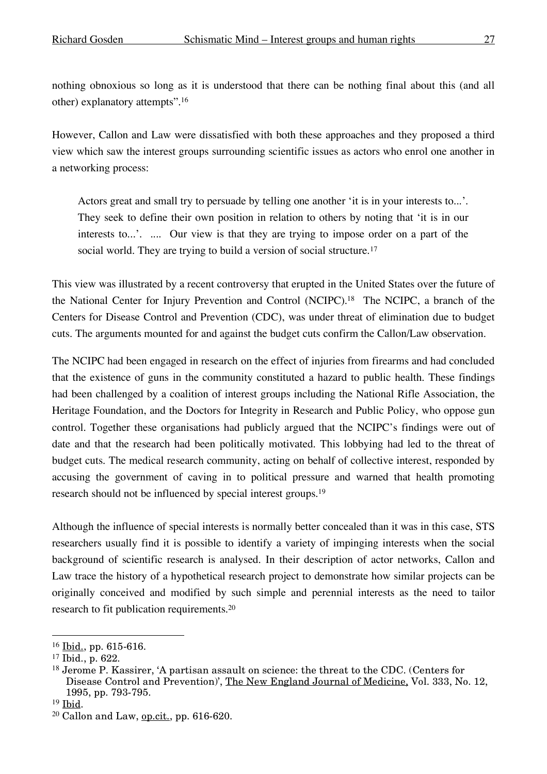nothing obnoxious so long as it is understood that there can be nothing final about this (and all other) explanatory attempts". 16

However, Callon and Law were dissatisfied with both these approaches and they proposed a third view which saw the interest groups surrounding scientific issues as actors who enrol one another in a networking process:

Actors great and small try to persuade by telling one another 'it is in your interests to...'. They seek to define their own position in relation to others by noting that 'it is in our interests to...'. .... Our view is that they are trying to impose order on a part of the social world. They are trying to build a version of social structure.<sup>17</sup>

This view was illustrated by a recent controversy that erupted in the United States over the future of the National Center for Injury Prevention and Control (NCIPC). <sup>18</sup> The NCIPC, a branch of the Centers for Disease Control and Prevention (CDC), was under threat of elimination due to budget cuts. The arguments mounted for and against the budget cuts confirm the Callon/Law observation.

The NCIPC had been engaged in research on the effect of injuries from firearms and had concluded that the existence of guns in the community constituted a hazard to public health. These findings had been challenged by a coalition of interest groups including the National Rifle Association, the Heritage Foundation, and the Doctors for Integrity in Research and Public Policy, who oppose gun control. Together these organisations had publicly argued that the NCIPC's findings were out of date and that the research had been politically motivated. This lobbying had led to the threat of budget cuts. The medical research community, acting on behalf of collective interest, responded by accusing the government of caving in to political pressure and warned that health promoting research should not be influenced by special interest groups. 19

Although the influence of special interests is normally better concealed than it was in this case, STS researchers usually find it is possible to identify a variety of impinging interests when the social background of scientific research is analysed. In their description of actor networks, Callon and Law trace the history of a hypothetical research project to demonstrate how similar projects can be originally conceived and modified by such simple and perennial interests as the need to tailor research to fit publication requirements. 20

 $16$  Ibid., pp. 615-616.

<sup>17</sup> Ibid., p. 622.

<sup>18</sup> Jerome P. Kassirer, 'A partisan assault on science: the threat to the CDC. (Centers for Disease Control and Prevention)', The New England Journal of Medicine, Vol. 333, No. 12, 1995, pp. 793-795.

<sup>&</sup>lt;sup>19</sup> Ibid.

 $20$  Callon and Law, op.cit., pp. 616-620.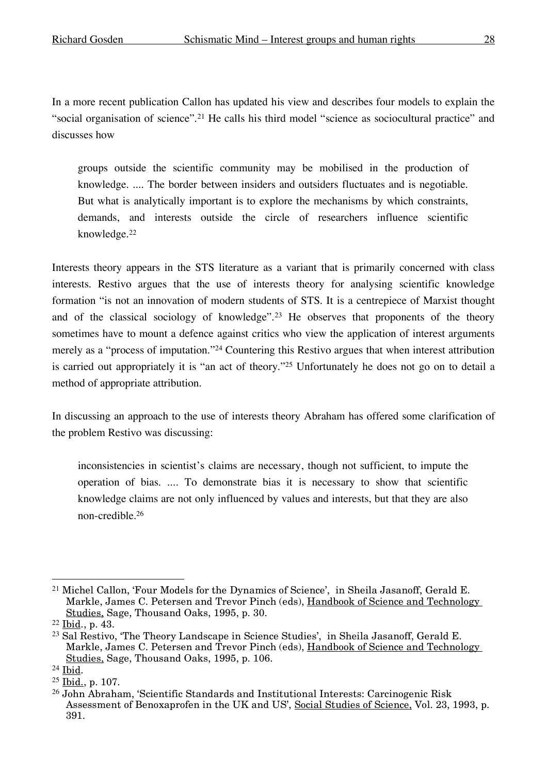In a more recent publication Callon has updated his view and describes four models to explain the "social organisation of science".21 He calls his third model "science as sociocultural practice" and discusses how

groups outside the scientific community may be mobilised in the production of knowledge. .... The border between insiders and outsiders fluctuates and is negotiable. But what is analytically important is to explore the mechanisms by which constraints, demands, and interests outside the circle of researchers influence scientific knowledge.22

Interests theory appears in the STS literature as a variant that is primarily concerned with class interests. Restivo argues that the use of interests theory for analysing scientific knowledge formation "is not an innovation of modern students of STS. It is a centrepiece of Marxist thought and of the classical sociology of knowledge".23 He observes that proponents of the theory sometimes have to mount a defence against critics who view the application of interest arguments merely as a "process of imputation."24 Countering this Restivo argues that when interest attribution is carried out appropriately it is "an act of theory."25 Unfortunately he does not go on to detail a method of appropriate attribution.

In discussing an approach to the use of interests theory Abraham has offered some clarification of the problem Restivo was discussing:

inconsistencies in scientist's claims are necessary, though not sufficient, to impute the operation of bias. .... To demonstrate bias it is necessary to show that scientific knowledge claims are not only influenced by values and interests, but that they are also non-credible. 26

 <sup>21</sup> Michel Callon, 'Four Models for the Dynamics of Science', in Sheila Jasanoff, Gerald E. Markle, James C. Petersen and Trevor Pinch (eds), Handbook of Science and Technology Studies, Sage, Thousand Oaks, 1995, p. 30.

<sup>22</sup> Ibid., p. 43.

<sup>23</sup> Sal Restivo, 'The Theory Landscape in Science Studies', in Sheila Jasanoff, Gerald E. Markle, James C. Petersen and Trevor Pinch (eds), Handbook of Science and Technology Studies, Sage, Thousand Oaks, 1995, p. 106.

 $24$  Ibid.

<sup>25</sup> Ibid., p. 107.

<sup>26</sup> John Abraham, 'Scientific Standards and Institutional Interests: Carcinogenic Risk Assessment of Benoxaprofen in the UK and US', Social Studies of Science, Vol. 23, 1993, p. 391.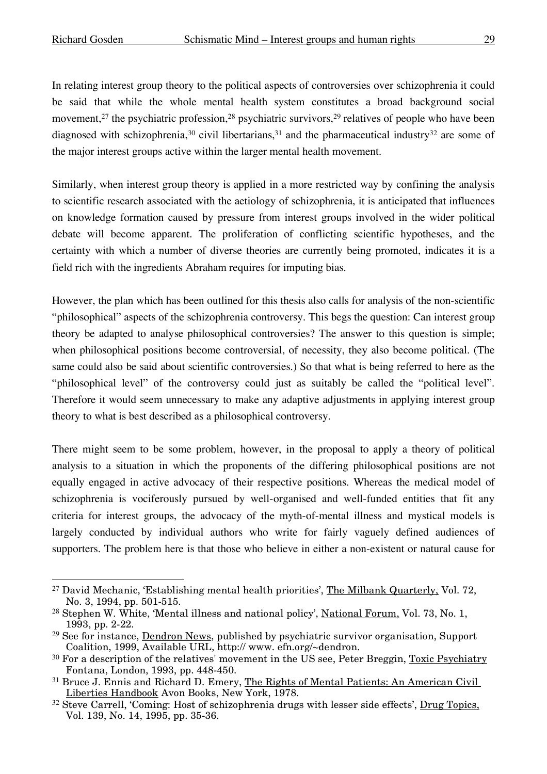In relating interest group theory to the political aspects of controversies over schizophrenia it could be said that while the whole mental health system constitutes a broad background social movement,<sup>27</sup> the psychiatric profession,<sup>28</sup> psychiatric survivors,<sup>29</sup> relatives of people who have been diagnosed with schizophrenia,<sup>30</sup> civil libertarians,<sup>31</sup> and the pharmaceutical industry<sup>32</sup> are some of the major interest groups active within the larger mental health movement.

Similarly, when interest group theory is applied in a more restricted way by confining the analysis to scientific research associated with the aetiology of schizophrenia, it is anticipated that influences on knowledge formation caused by pressure from interest groups involved in the wider political debate will become apparent. The proliferation of conflicting scientific hypotheses, and the certainty with which a number of diverse theories are currently being promoted, indicates it is a field rich with the ingredients Abraham requires for imputing bias.

However, the plan which has been outlined for this thesis also calls for analysis of the non-scientific "philosophical" aspects of the schizophrenia controversy. This begs the question: Can interest group theory be adapted to analyse philosophical controversies? The answer to this question is simple; when philosophical positions become controversial, of necessity, they also become political. (The same could also be said about scientific controversies.) So that what is being referred to here as the "philosophical level" of the controversy could just as suitably be called the "political level". Therefore it would seem unnecessary to make any adaptive adjustments in applying interest group theory to what is best described as a philosophical controversy.

There might seem to be some problem, however, in the proposal to apply a theory of political analysis to a situation in which the proponents of the differing philosophical positions are not equally engaged in active advocacy of their respective positions. Whereas the medical model of schizophrenia is vociferously pursued by well-organised and well-funded entities that fit any criteria for interest groups, the advocacy of the myth-of-mental illness and mystical models is largely conducted by individual authors who write for fairly vaguely defined audiences of supporters. The problem here is that those who believe in either a non-existent or natural cause for

<sup>&</sup>lt;sup>27</sup> David Mechanic, 'Establishing mental health priorities', The Milbank Quarterly, Vol. 72, No. 3, 1994, pp. 501-515.

<sup>28</sup> Stephen W. White, 'Mental illness and national policy', National Forum, Vol. 73, No. 1, 1993, pp. 2-22.

<sup>&</sup>lt;sup>29</sup> See for instance, Dendron News, published by psychiatric survivor organisation, Support Coalition, 1999, Available URL, http:// www. efn.org/~dendron.

<sup>&</sup>lt;sup>30</sup> For a description of the relatives' movement in the US see, Peter Breggin, <u>Toxic Psychiatry</u> Fontana, London, 1993, pp. 448-450.

<sup>&</sup>lt;sup>31</sup> Bruce J. Ennis and Richard D. Emery, The Rights of Mental Patients: An American Civil Liberties Handbook Avon Books, New York, 1978.

<sup>&</sup>lt;sup>32</sup> Steve Carrell, 'Coming: Host of schizophrenia drugs with lesser side effects', <u>Drug Topics</u>, Vol. 139, No. 14, 1995, pp. 35-36.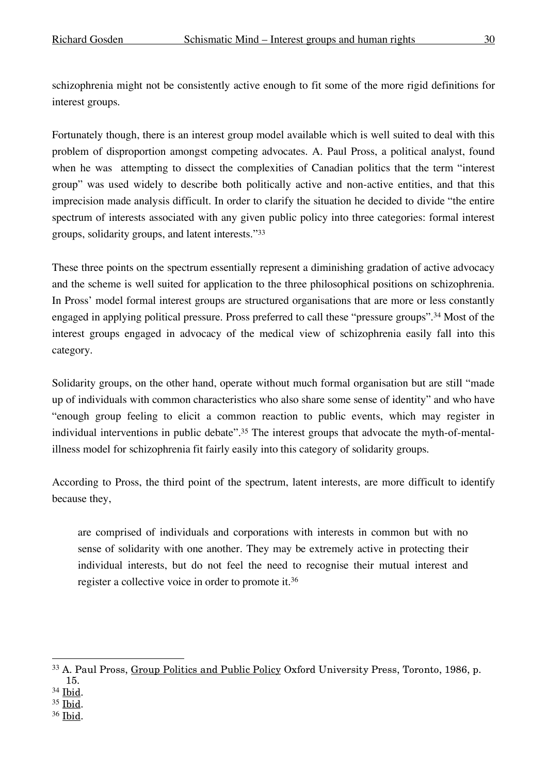schizophrenia might not be consistently active enough to fit some of the more rigid definitions for interest groups.

Fortunately though, there is an interest group model available which is well suited to deal with this problem of disproportion amongst competing advocates. A. Paul Pross, a political analyst, found when he was attempting to dissect the complexities of Canadian politics that the term "interest group" was used widely to describe both politically active and non-active entities, and that this imprecision made analysis difficult. In order to clarify the situation he decided to divide "the entire spectrum of interests associated with any given public policy into three categories: formal interest groups, solidarity groups, and latent interests."33

These three points on the spectrum essentially represent a diminishing gradation of active advocacy and the scheme is well suited for application to the three philosophical positions on schizophrenia. In Pross' model formal interest groups are structured organisations that are more or less constantly engaged in applying political pressure. Pross preferred to call these "pressure groups".34 Most of the interest groups engaged in advocacy of the medical view of schizophrenia easily fall into this category.

Solidarity groups, on the other hand, operate without much formal organisation but are still "made up of individuals with common characteristics who also share some sense of identity" and who have "enough group feeling to elicit a common reaction to public events, which may register in individual interventions in public debate".<sup>35</sup> The interest groups that advocate the myth-of-mentalillness model for schizophrenia fit fairly easily into this category of solidarity groups.

According to Pross, the third point of the spectrum, latent interests, are more difficult to identify because they,

are comprised of individuals and corporations with interests in common but with no sense of solidarity with one another. They may be extremely active in protecting their individual interests, but do not feel the need to recognise their mutual interest and register a collective voice in order to promote it. 36

- <sup>35</sup> Ibid.
- <sup>36</sup> Ibid.

 <sup>33</sup> A. Paul Pross, Group Politics and Public Policy Oxford University Press, Toronto, 1986, p. 15.

<sup>34</sup> Ibid.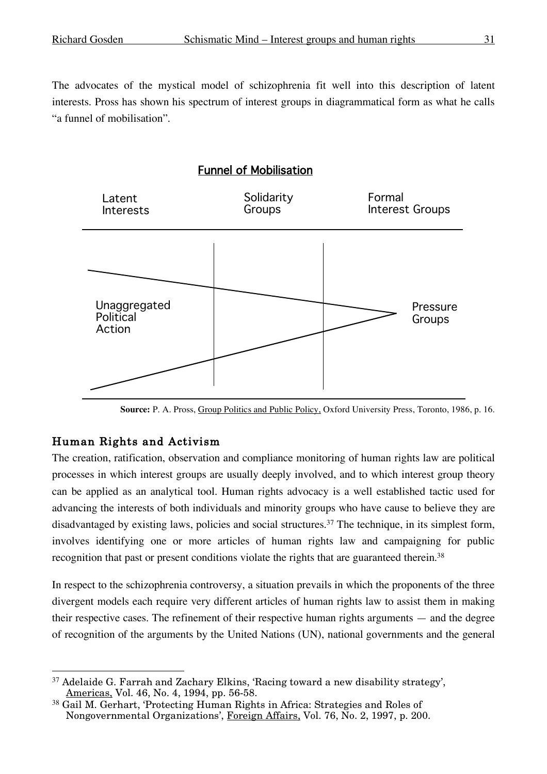The advocates of the mystical model of schizophrenia fit well into this description of latent interests. Pross has shown his spectrum of interest groups in diagrammatical form as what he calls "a funnel of mobilisation".

# Funnel of Mobilisation



**Source:** P. A. Pross, Group Politics and Public Policy, Oxford University Press, Toronto, 1986, p. 16.

## Human Rights and Activism

The creation, ratification, observation and compliance monitoring of human rights law are political processes in which interest groups are usually deeply involved, and to which interest group theory can be applied as an analytical tool. Human rights advocacy is a well established tactic used for advancing the interests of both individuals and minority groups who have cause to believe they are disadvantaged by existing laws, policies and social structures. <sup>37</sup> The technique, in its simplest form, involves identifying one or more articles of human rights law and campaigning for public recognition that past or present conditions violate the rights that are guaranteed therein.<sup>38</sup>

In respect to the schizophrenia controversy, a situation prevails in which the proponents of the three divergent models each require very different articles of human rights law to assist them in making their respective cases. The refinement of their respective human rights arguments — and the degree of recognition of the arguments by the United Nations (UN), national governments and the general

 <sup>37</sup> Adelaide G. Farrah and Zachary Elkins, 'Racing toward a new disability strategy', Americas, Vol. 46, No. 4, 1994, pp. 56-58.

<sup>38</sup> Gail M. Gerhart, 'Protecting Human Rights in Africa: Strategies and Roles of Nongovernmental Organizations', Foreign Affairs, Vol. 76, No. 2, 1997, p. 200.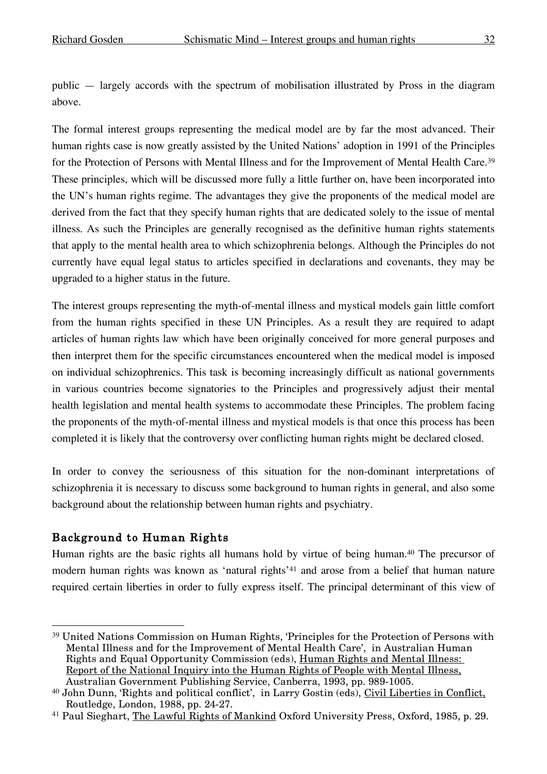public — largely accords with the spectrum of mobilisation illustrated by Pross in the diagram above.

The formal interest groups representing the medical model are by far the most advanced. Their human rights case is now greatly assisted by the United Nations' adoption in 1991 of the Principles for the Protection of Persons with Mental Illness and for the Improvement of Mental Health Care.<sup>39</sup> These principles, which will be discussed more fully a little further on, have been incorporated into the UN's human rights regime. The advantages they give the proponents of the medical model are derived from the fact that they specify human rights that are dedicated solely to the issue of mental illness. As such the Principles are generally recognised as the definitive human rights statements that apply to the mental health area to which schizophrenia belongs. Although the Principles do not currently have equal legal status to articles specified in declarations and covenants, they may be upgraded to a higher status in the future.

The interest groups representing the myth-of-mental illness and mystical models gain little comfort from the human rights specified in these UN Principles. As a result they are required to adapt articles of human rights law which have been originally conceived for more general purposes and then interpret them for the specific circumstances encountered when the medical model is imposed on individual schizophrenics. This task is becoming increasingly difficult as national governments in various countries become signatories to the Principles and progressively adjust their mental health legislation and mental health systems to accommodate these Principles. The problem facing the proponents of the myth-of-mental illness and mystical models is that once this process has been completed it is likely that the controversy over conflicting human rights might be declared closed.

In order to convey the seriousness of this situation for the non-dominant interpretations of schizophrenia it is necessary to discuss some background to human rights in general, and also some background about the relationship between human rights and psychiatry.

## Background to Human Rights

Human rights are the basic rights all humans hold by virtue of being human.<sup>40</sup> The precursor of modern human rights was known as 'natural rights'<sup>41</sup> and arose from a belief that human nature required certain liberties in order to fully express itself. The principal determinant of this view of

 <sup>39</sup> United Nations Commission on Human Rights, 'Principles for the Protection of Persons with Mental Illness and for the Improvement of Mental Health Care', in Australian Human Rights and Equal Opportunity Commission (eds), Human Rights and Mental Illness: Report of the National Inquiry into the Human Rights of People with Mental Illness, Australian Government Publishing Service, Canberra, 1993, pp. 989-1005.

<sup>40</sup> John Dunn, 'Rights and political conflict', in Larry Gostin (eds), Civil Liberties in Conflict, Routledge, London, 1988, pp. 24-27.

<sup>&</sup>lt;sup>41</sup> Paul Sieghart, The Lawful Rights of Mankind Oxford University Press, Oxford, 1985, p. 29.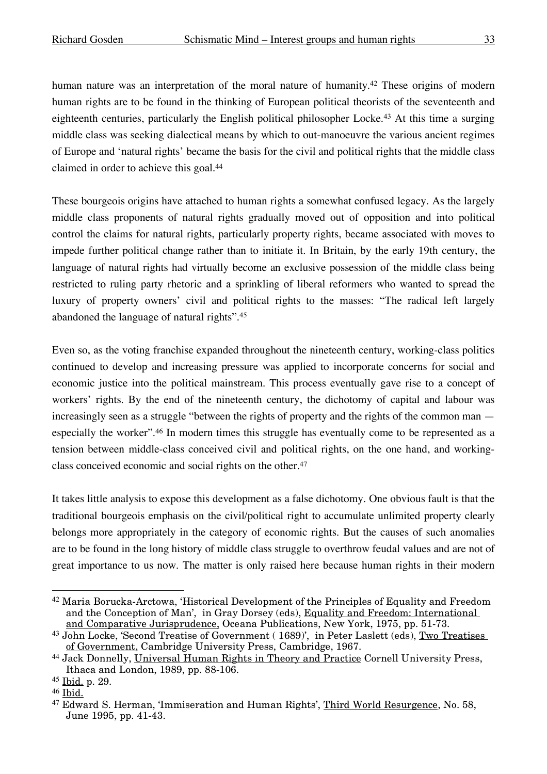human nature was an interpretation of the moral nature of humanity.<sup>42</sup> These origins of modern human rights are to be found in the thinking of European political theorists of the seventeenth and eighteenth centuries, particularly the English political philosopher Locke.43 At this time a surging middle class was seeking dialectical means by which to out-manoeuvre the various ancient regimes of Europe and 'natural rights' became the basis for the civil and political rights that the middle class claimed in order to achieve this goal. 44

These bourgeois origins have attached to human rights a somewhat confused legacy. As the largely middle class proponents of natural rights gradually moved out of opposition and into political control the claims for natural rights, particularly property rights, became associated with moves to impede further political change rather than to initiate it. In Britain, by the early 19th century, the language of natural rights had virtually become an exclusive possession of the middle class being restricted to ruling party rhetoric and a sprinkling of liberal reformers who wanted to spread the luxury of property owners' civil and political rights to the masses: "The radical left largely abandoned the language of natural rights".45

Even so, as the voting franchise expanded throughout the nineteenth century, working-class politics continued to develop and increasing pressure was applied to incorporate concerns for social and economic justice into the political mainstream. This process eventually gave rise to a concept of workers' rights. By the end of the nineteenth century, the dichotomy of capital and labour was increasingly seen as a struggle "between the rights of property and the rights of the common man especially the worker".46 In modern times this struggle has eventually come to be represented as a tension between middle-class conceived civil and political rights, on the one hand, and workingclass conceived economic and social rights on the other. 47

It takes little analysis to expose this development as a false dichotomy. One obvious fault is that the traditional bourgeois emphasis on the civil/political right to accumulate unlimited property clearly belongs more appropriately in the category of economic rights. But the causes of such anomalies are to be found in the long history of middle class struggle to overthrow feudal values and are not of great importance to us now. The matter is only raised here because human rights in their modern

 <sup>42</sup> Maria Borucka-Arctowa, 'Historical Development of the Principles of Equality and Freedom and the Conception of Man', in Gray Dorsey (eds), Equality and Freedom: International and Comparative Jurisprudence, Oceana Publications, New York, 1975, pp. 51-73.

<sup>&</sup>lt;sup>43</sup> John Locke, 'Second Treatise of Government ( 1689)', in Peter Laslett (eds), Two Treatises of Government, Cambridge University Press, Cambridge, 1967.

<sup>44</sup> Jack Donnelly, Universal Human Rights in Theory and Practice Cornell University Press, Ithaca and London, 1989, pp. 88-106.

<sup>45</sup> Ibid. p. 29.

<sup>46</sup> Ibid.

<sup>47</sup> Edward S. Herman, 'Immiseration and Human Rights', Third World Resurgence, No. 58, June 1995, pp. 41-43.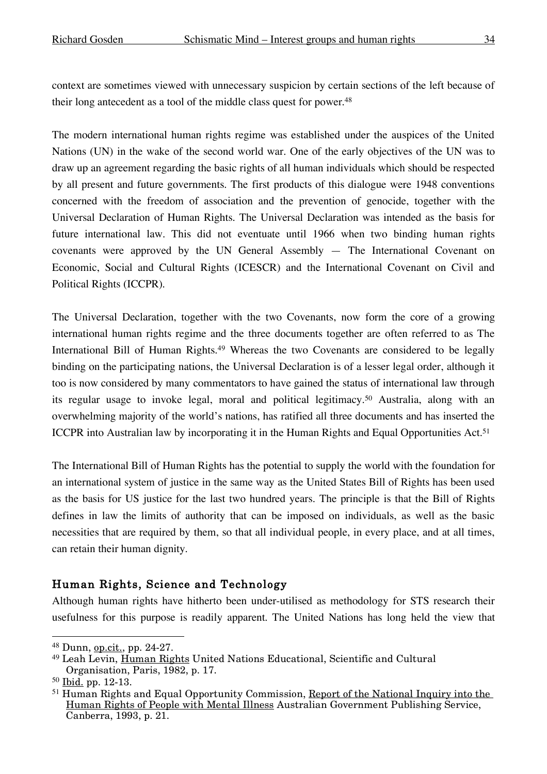context are sometimes viewed with unnecessary suspicion by certain sections of the left because of their long antecedent as a tool of the middle class quest for power. 48

The modern international human rights regime was established under the auspices of the United Nations (UN) in the wake of the second world war. One of the early objectives of the UN was to draw up an agreement regarding the basic rights of all human individuals which should be respected by all present and future governments. The first products of this dialogue were 1948 conventions concerned with the freedom of association and the prevention of genocide, together with the Universal Declaration of Human Rights. The Universal Declaration was intended as the basis for future international law. This did not eventuate until 1966 when two binding human rights covenants were approved by the UN General Assembly — The International Covenant on Economic, Social and Cultural Rights (ICESCR) and the International Covenant on Civil and Political Rights (ICCPR).

The Universal Declaration, together with the two Covenants, now form the core of a growing international human rights regime and the three documents together are often referred to as The International Bill of Human Rights.<sup>49</sup> Whereas the two Covenants are considered to be legally binding on the participating nations, the Universal Declaration is of a lesser legal order, although it too is now considered by many commentators to have gained the status of international law through its regular usage to invoke legal, moral and political legitimacy.50 Australia, along with an overwhelming majority of the world's nations, has ratified all three documents and has inserted the ICCPR into Australian law by incorporating it in the Human Rights and Equal Opportunities Act. 51

The International Bill of Human Rights has the potential to supply the world with the foundation for an international system of justice in the same way as the United States Bill of Rights has been used as the basis for US justice for the last two hundred years. The principle is that the Bill of Rights defines in law the limits of authority that can be imposed on individuals, as well as the basic necessities that are required by them, so that all individual people, in every place, and at all times, can retain their human dignity.

#### Human Rights, Science and Technology

Although human rights have hitherto been under-utilised as methodology for STS research their usefulness for this purpose is readily apparent. The United Nations has long held the view that

 <sup>48</sup> Dunn, op.cit., pp. 24-27.

<sup>49</sup> Leah Levin, Human Rights United Nations Educational, Scientific and Cultural Organisation, Paris, 1982, p. 17.

<sup>50</sup> Ibid. pp. 12-13.

<sup>&</sup>lt;sup>51</sup> Human Rights and Equal Opportunity Commission, Report of the National Inquiry into the Human Rights of People with Mental Illness Australian Government Publishing Service, Canberra, 1993, p. 21.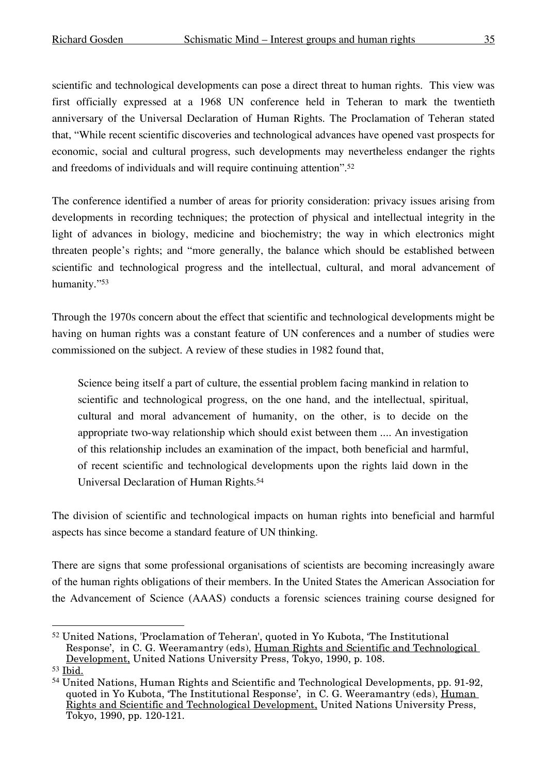scientific and technological developments can pose a direct threat to human rights. This view was first officially expressed at a 1968 UN conference held in Teheran to mark the twentieth anniversary of the Universal Declaration of Human Rights. The Proclamation of Teheran stated that, "While recent scientific discoveries and technological advances have opened vast prospects for economic, social and cultural progress, such developments may nevertheless endanger the rights and freedoms of individuals and will require continuing attention". 52

The conference identified a number of areas for priority consideration: privacy issues arising from developments in recording techniques; the protection of physical and intellectual integrity in the light of advances in biology, medicine and biochemistry; the way in which electronics might threaten people's rights; and "more generally, the balance which should be established between scientific and technological progress and the intellectual, cultural, and moral advancement of humanity."53

Through the 1970s concern about the effect that scientific and technological developments might be having on human rights was a constant feature of UN conferences and a number of studies were commissioned on the subject. A review of these studies in 1982 found that,

Science being itself a part of culture, the essential problem facing mankind in relation to scientific and technological progress, on the one hand, and the intellectual, spiritual, cultural and moral advancement of humanity, on the other, is to decide on the appropriate two-way relationship which should exist between them .... An investigation of this relationship includes an examination of the impact, both beneficial and harmful, of recent scientific and technological developments upon the rights laid down in the Universal Declaration of Human Rights. 54

The division of scientific and technological impacts on human rights into beneficial and harmful aspects has since become a standard feature of UN thinking.

There are signs that some professional organisations of scientists are becoming increasingly aware of the human rights obligations of their members. In the United States the American Association for the Advancement of Science (AAAS) conducts a forensic sciences training course designed for

 <sup>52</sup> United Nations, 'Proclamation of Teheran', quoted in Yo Kubota, 'The Institutional Response', in C. G. Weeramantry (eds), Human Rights and Scientific and Technological Development, United Nations University Press, Tokyo, 1990, p. 108.

<sup>53</sup> Ibid.

<sup>54</sup> United Nations, Human Rights and Scientific and Technological Developments, pp. 91-92, quoted in Yo Kubota, 'The Institutional Response', in C. G. Weeramantry (eds), Human Rights and Scientific and Technological Development, United Nations University Press, Tokyo, 1990, pp. 120-121.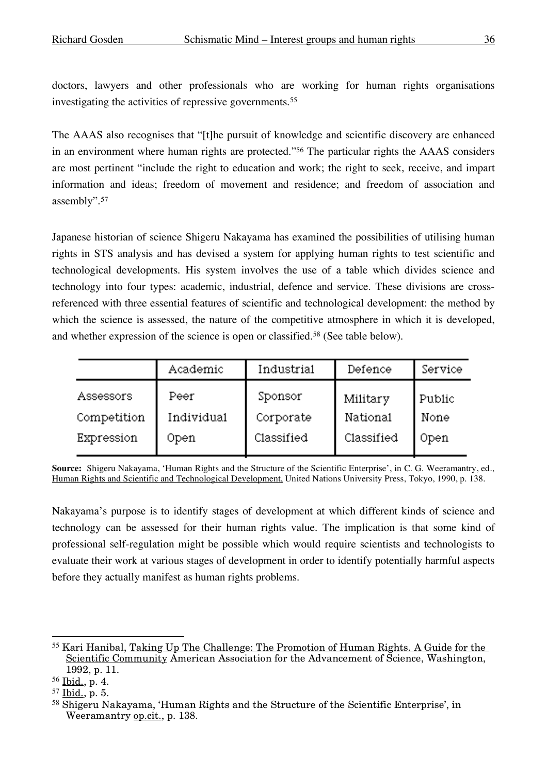doctors, lawyers and other professionals who are working for human rights organisations investigating the activities of repressive governments.55

The AAAS also recognises that "[t]he pursuit of knowledge and scientific discovery are enhanced in an environment where human rights are protected."56 The particular rights the AAAS considers are most pertinent "include the right to education and work; the right to seek, receive, and impart information and ideas; freedom of movement and residence; and freedom of association and assembly".57

Japanese historian of science Shigeru Nakayama has examined the possibilities of utilising human rights in STS analysis and has devised a system for applying human rights to test scientific and technological developments. His system involves the use of a table which divides science and technology into four types: academic, industrial, defence and service. These divisions are crossreferenced with three essential features of scientific and technological development: the method by which the science is assessed, the nature of the competitive atmosphere in which it is developed, and whether expression of the science is open or classified.58 (See table below).

|             | Academic   | Industrial | Defence    | Service |
|-------------|------------|------------|------------|---------|
| Assessors   | Peer       | Sponsor    | Military   | Public  |
| Competition | Individual | Corporate  | National   | None    |
| Expression  | Open       | Classified | Classified | Open    |

**Source:** Shigeru Nakayama, 'Human Rights and the Structure of the Scientific Enterprise', in C. G. Weeramantry, ed., Human Rights and Scientific and Technological Development, United Nations University Press, Tokyo, 1990, p. 138.

Nakayama's purpose is to identify stages of development at which different kinds of science and technology can be assessed for their human rights value. The implication is that some kind of professional self-regulation might be possible which would require scientists and technologists to evaluate their work at various stages of development in order to identify potentially harmful aspects before they actually manifest as human rights problems.

 <sup>55</sup> Kari Hanibal, Taking Up The Challenge: The Promotion of Human Rights. <sup>A</sup> Guide for the Scientific Community American Association for the Advancement of Science, Washington, 1992, p. 11.

<sup>56</sup> Ibid., p. 4.

<sup>57</sup> Ibid., p. 5.

<sup>58</sup> Shigeru Nakayama, 'Human Rights and the Structure of the Scientific Enterprise', in Weeramantry op.cit., p. 138.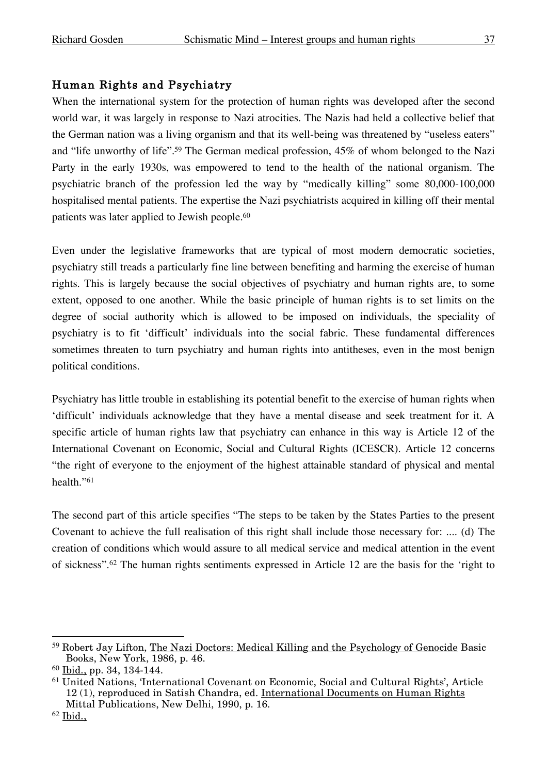#### Human Rights and Psychiatry

When the international system for the protection of human rights was developed after the second world war, it was largely in response to Nazi atrocities. The Nazis had held a collective belief that the German nation was a living organism and that its well-being was threatened by "useless eaters" and "life unworthy of life". <sup>59</sup> The German medical profession, 45% of whom belonged to the Nazi Party in the early 1930s, was empowered to tend to the health of the national organism. The psychiatric branch of the profession led the way by "medically killing" some 80,000-100,000 hospitalised mental patients. The expertise the Nazi psychiatrists acquired in killing off their mental patients was later applied to Jewish people. 60

Even under the legislative frameworks that are typical of most modern democratic societies, psychiatry still treads a particularly fine line between benefiting and harming the exercise of human rights. This is largely because the social objectives of psychiatry and human rights are, to some extent, opposed to one another. While the basic principle of human rights is to set limits on the degree of social authority which is allowed to be imposed on individuals, the speciality of psychiatry is to fit 'difficult' individuals into the social fabric. These fundamental differences sometimes threaten to turn psychiatry and human rights into antitheses, even in the most benign political conditions.

Psychiatry has little trouble in establishing its potential benefit to the exercise of human rights when 'difficult' individuals acknowledge that they have a mental disease and seek treatment for it. A specific article of human rights law that psychiatry can enhance in this way is Article 12 of the International Covenant on Economic, Social and Cultural Rights (ICESCR). Article 12 concerns "the right of everyone to the enjoyment of the highest attainable standard of physical and mental health."61

The second part of this article specifies "The steps to be taken by the States Parties to the present Covenant to achieve the full realisation of this right shall include those necessary for: .... (d) The creation of conditions which would assure to all medical service and medical attention in the event of sickness".62 The human rights sentiments expressed in Article 12 are the basis for the 'right to

 <sup>59</sup> Robert Jay Lifton, The Nazi Doctors: Medical Killing and the Psychology of Genocide Basic Books, New York, 1986, p. 46.

<sup>60</sup> Ibid., pp. 34, 134-144.

<sup>61</sup> United Nations, 'International Covenant on Economic, Social and Cultural Rights', Article 12 (1), reproduced in Satish Chandra, ed. International Documents on Human Rights Mittal Publications, New Delhi, 1990, p. 16.

 $62$  Ibid.,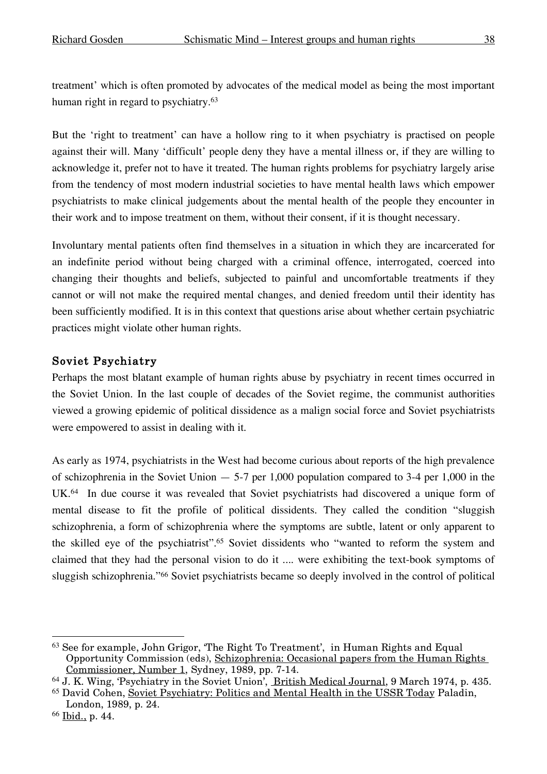treatment' which is often promoted by advocates of the medical model as being the most important human right in regard to psychiatry.<sup>63</sup>

But the 'right to treatment' can have a hollow ring to it when psychiatry is practised on people against their will. Many 'difficult' people deny they have a mental illness or, if they are willing to acknowledge it, prefer not to have it treated. The human rights problems for psychiatry largely arise from the tendency of most modern industrial societies to have mental health laws which empower psychiatrists to make clinical judgements about the mental health of the people they encounter in their work and to impose treatment on them, without their consent, if it is thought necessary.

Involuntary mental patients often find themselves in a situation in which they are incarcerated for an indefinite period without being charged with a criminal offence, interrogated, coerced into changing their thoughts and beliefs, subjected to painful and uncomfortable treatments if they cannot or will not make the required mental changes, and denied freedom until their identity has been sufficiently modified. It is in this context that questions arise about whether certain psychiatric practices might violate other human rights.

# Soviet Psychiatry

Perhaps the most blatant example of human rights abuse by psychiatry in recent times occurred in the Soviet Union. In the last couple of decades of the Soviet regime, the communist authorities viewed a growing epidemic of political dissidence as a malign social force and Soviet psychiatrists were empowered to assist in dealing with it.

As early as 1974, psychiatrists in the West had become curious about reports of the high prevalence of schizophrenia in the Soviet Union  $-5$ -7 per 1,000 population compared to 3-4 per 1,000 in the UK.64 In due course it was revealed that Soviet psychiatrists had discovered a unique form of mental disease to fit the profile of political dissidents. They called the condition "sluggish schizophrenia, a form of schizophrenia where the symptoms are subtle, latent or only apparent to the skilled eye of the psychiatrist". <sup>65</sup> Soviet dissidents who "wanted to reform the system and claimed that they had the personal vision to do it .... were exhibiting the text-book symptoms of sluggish schizophrenia."66 Soviet psychiatrists became so deeply involved in the control of political

 <sup>63</sup> See for example, John Grigor, 'The Right To Treatment', in Human Rights and Equal Opportunity Commission (eds), Schizophrenia: Occasional papers from the Human Rights Commissioner, Number 1, Sydney, 1989, pp. 7-14.

<sup>64</sup> J. K. Wing, 'Psychiatry in the Soviet Union', British Medical Journal, 9 March 1974, p. 435. <sup>65</sup> David Cohen, Soviet Psychiatry: Politics and Mental Health in the USSR Today Paladin, London, 1989, p. 24.

<sup>66</sup> Ibid., p. 44.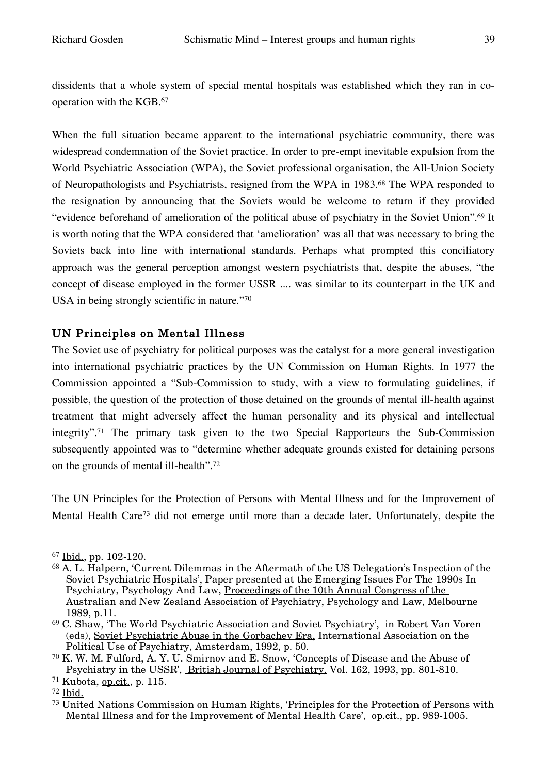dissidents that a whole system of special mental hospitals was established which they ran in cooperation with the KGB. 67

When the full situation became apparent to the international psychiatric community, there was widespread condemnation of the Soviet practice. In order to pre-empt inevitable expulsion from the World Psychiatric Association (WPA), the Soviet professional organisation, the All-Union Society of Neuropathologists and Psychiatrists, resigned from the WPA in 1983.68 The WPA responded to the resignation by announcing that the Soviets would be welcome to return if they provided "evidence beforehand of amelioration of the political abuse of psychiatry in the Soviet Union". <sup>69</sup> It is worth noting that the WPA considered that 'amelioration' was all that was necessary to bring the Soviets back into line with international standards. Perhaps what prompted this conciliatory approach was the general perception amongst western psychiatrists that, despite the abuses, "the concept of disease employed in the former USSR .... was similar to its counterpart in the UK and USA in being strongly scientific in nature."70

### UN Principles on Mental Illness

The Soviet use of psychiatry for political purposes was the catalyst for a more general investigation into international psychiatric practices by the UN Commission on Human Rights. In 1977 the Commission appointed a "Sub-Commission to study, with a view to formulating guidelines, if possible, the question of the protection of those detained on the grounds of mental ill-health against treatment that might adversely affect the human personality and its physical and intellectual integrity". <sup>71</sup> The primary task given to the two Special Rapporteurs the Sub-Commission subsequently appointed was to "determine whether adequate grounds existed for detaining persons on the grounds of mental ill-health". 72

The UN Principles for the Protection of Persons with Mental Illness and for the Improvement of Mental Health Care<sup>73</sup> did not emerge until more than a decade later. Unfortunately, despite the

 <sup>67</sup> Ibid., pp. 102-120.

 $68$  A. L. Halpern, 'Current Dilemmas in the Aftermath of the US Delegation's Inspection of the Soviet Psychiatric Hospitals', Paper presented at the Emerging Issues For The 1990s In Psychiatry, Psychology And Law, Proceedings of the 10th Annual Congress of the Australian and New Zealand Association of Psychiatry, Psychology and Law, Melbourne 1989, p.11.

<sup>69</sup> C. Shaw, 'The World Psychiatric Association and Soviet Psychiatry', in Robert Van Voren (eds), Soviet Psychiatric Abuse in the Gorbachev Era, International Association on the Political Use of Psychiatry, Amsterdam, 1992, p. 50.

<sup>70</sup> K. W. M. Fulford, A. Y. U. Smirnov and E. Snow, 'Concepts of Disease and the Abuse of Psychiatry in the USSR', British Journal of Psychiatry, Vol. 162, 1993, pp. 801-810.

<sup>71</sup> Kubota, op.cit., p. 115.

<sup>72</sup> Ibid.

<sup>73</sup> United Nations Commission on Human Rights, 'Principles for the Protection of Persons with Mental Illness and for the Improvement of Mental Health Care', op.cit., pp. 989-1005.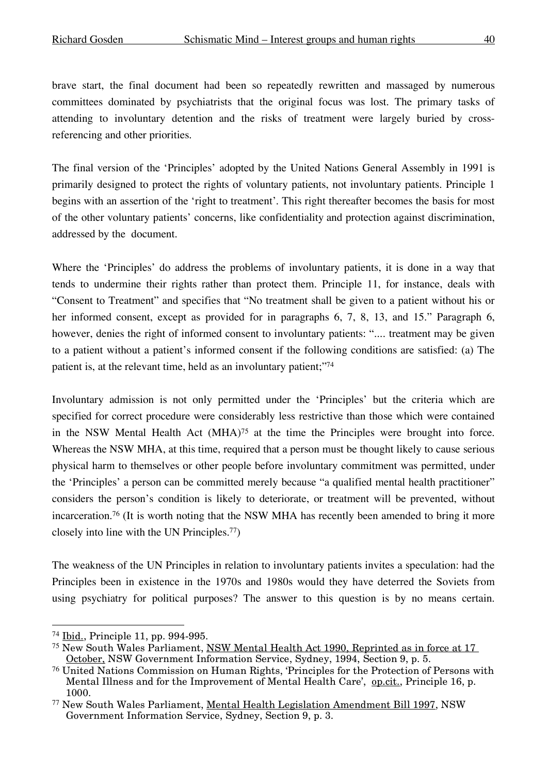brave start, the final document had been so repeatedly rewritten and massaged by numerous committees dominated by psychiatrists that the original focus was lost. The primary tasks of attending to involuntary detention and the risks of treatment were largely buried by crossreferencing and other priorities.

The final version of the 'Principles' adopted by the United Nations General Assembly in 1991 is primarily designed to protect the rights of voluntary patients, not involuntary patients. Principle 1 begins with an assertion of the 'right to treatment'. This right thereafter becomes the basis for most of the other voluntary patients' concerns, like confidentiality and protection against discrimination, addressed by the document.

Where the 'Principles' do address the problems of involuntary patients, it is done in a way that tends to undermine their rights rather than protect them. Principle 11, for instance, deals with "Consent to Treatment" and specifies that "No treatment shall be given to a patient without his or her informed consent, except as provided for in paragraphs 6, 7, 8, 13, and 15." Paragraph 6, however, denies the right of informed consent to involuntary patients: ".... treatment may be given to a patient without a patient's informed consent if the following conditions are satisfied: (a) The patient is, at the relevant time, held as an involuntary patient;"74

Involuntary admission is not only permitted under the 'Principles' but the criteria which are specified for correct procedure were considerably less restrictive than those which were contained in the NSW Mental Health Act (MHA)75 at the time the Principles were brought into force. Whereas the NSW MHA, at this time, required that a person must be thought likely to cause serious physical harm to themselves or other people before involuntary commitment was permitted, under the 'Principles' a person can be committed merely because "a qualified mental health practitioner" considers the person's condition is likely to deteriorate, or treatment will be prevented, without incarceration.76 (It is worth noting that the NSW MHA has recently been amended to bring it more closely into line with the UN Principles. 77)

The weakness of the UN Principles in relation to involuntary patients invites a speculation: had the Principles been in existence in the 1970s and 1980s would they have deterred the Soviets from using psychiatry for political purposes? The answer to this question is by no means certain.

 <sup>74</sup> Ibid., Principle 11, pp. 994-995.

<sup>75</sup> New South Wales Parliament, NSW Mental Health Act 1990, Reprinted as in force at 17 October, NSW Government Information Service, Sydney, 1994, Section 9, p. 5.

<sup>76</sup> United Nations Commission on Human Rights, 'Principles for the Protection of Persons with Mental Illness and for the Improvement of Mental Health Care', op.cit., Principle 16, p. 1000.

<sup>77</sup> New South Wales Parliament, Mental Health Legislation Amendment Bill 1997, NSW Government Information Service, Sydney, Section 9, p. 3.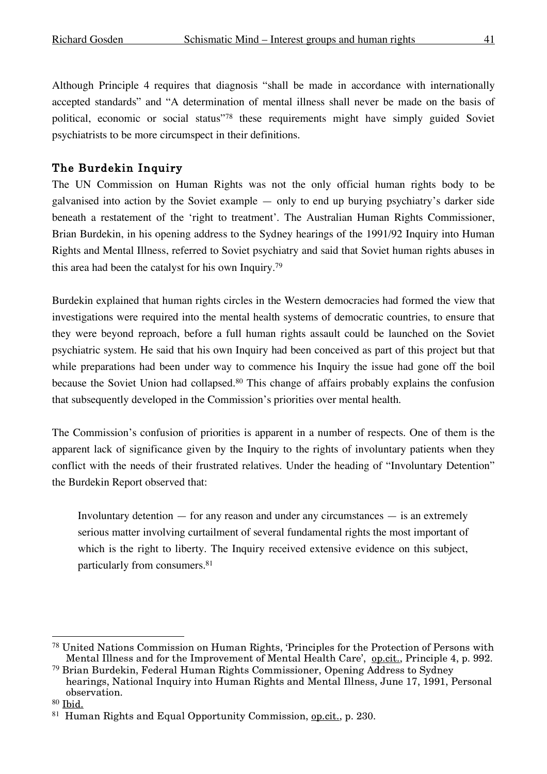Although Principle 4 requires that diagnosis "shall be made in accordance with internationally accepted standards" and "A determination of mental illness shall never be made on the basis of political, economic or social status"78 these requirements might have simply guided Soviet psychiatrists to be more circumspect in their definitions.

# The Burdekin Inquiry

The UN Commission on Human Rights was not the only official human rights body to be galvanised into action by the Soviet example — only to end up burying psychiatry's darker side beneath a restatement of the 'right to treatment'. The Australian Human Rights Commissioner, Brian Burdekin, in his opening address to the Sydney hearings of the 1991/92 Inquiry into Human Rights and Mental Illness, referred to Soviet psychiatry and said that Soviet human rights abuses in this area had been the catalyst for his own Inquiry.79

Burdekin explained that human rights circles in the Western democracies had formed the view that investigations were required into the mental health systems of democratic countries, to ensure that they were beyond reproach, before a full human rights assault could be launched on the Soviet psychiatric system. He said that his own Inquiry had been conceived as part of this project but that while preparations had been under way to commence his Inquiry the issue had gone off the boil because the Soviet Union had collapsed.80 This change of affairs probably explains the confusion that subsequently developed in the Commission's priorities over mental health.

The Commission's confusion of priorities is apparent in a number of respects. One of them is the apparent lack of significance given by the Inquiry to the rights of involuntary patients when they conflict with the needs of their frustrated relatives. Under the heading of "Involuntary Detention" the Burdekin Report observed that:

Involuntary detention  $-$  for any reason and under any circumstances  $-$  is an extremely serious matter involving curtailment of several fundamental rights the most important of which is the right to liberty. The Inquiry received extensive evidence on this subject, particularly from consumers. 81

 <sup>78</sup> United Nations Commission on Human Rights, 'Principles for the Protection of Persons with Mental Illness and for the Improvement of Mental Health Care', op.cit., Principle 4, p. 992.

<sup>79</sup> Brian Burdekin, Federal Human Rights Commissioner, Opening Address to Sydney hearings, National Inquiry into Human Rights and Mental Illness, June 17, 1991, Personal observation.

<sup>80</sup> Ibid.

 $81$  Human Rights and Equal Opportunity Commission, op.cit., p. 230.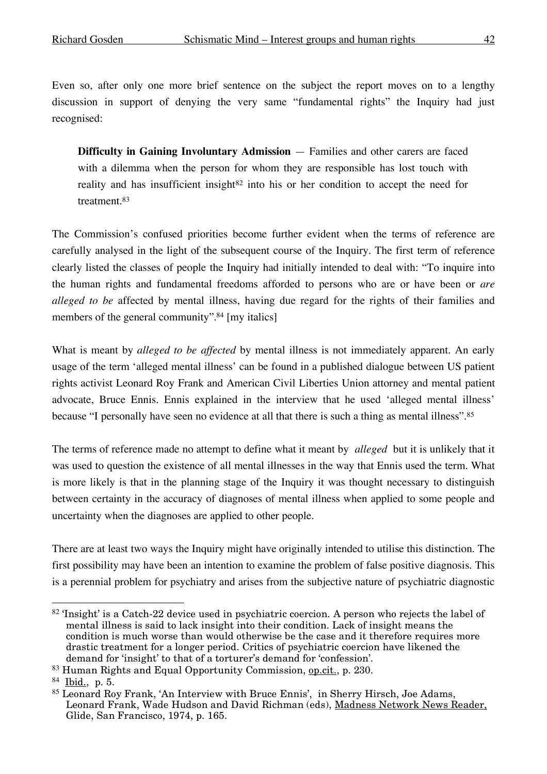Even so, after only one more brief sentence on the subject the report moves on to a lengthy discussion in support of denying the very same "fundamental rights" the Inquiry had just recognised:

**Difficulty in Gaining Involuntary Admission** — Families and other carers are faced with a dilemma when the person for whom they are responsible has lost touch with reality and has insufficient insight<sup>82</sup> into his or her condition to accept the need for treatment. 83

The Commission's confused priorities become further evident when the terms of reference are carefully analysed in the light of the subsequent course of the Inquiry. The first term of reference clearly listed the classes of people the Inquiry had initially intended to deal with: "To inquire into the human rights and fundamental freedoms afforded to persons who are or have been or *are alleged to be* affected by mental illness, having due regard for the rights of their families and members of the general community". <sup>84</sup> [my italics]

What is meant by *alleged to be affected* by mental illness is not immediately apparent. An early usage of the term 'alleged mental illness' can be found in a published dialogue between US patient rights activist Leonard Roy Frank and American Civil Liberties Union attorney and mental patient advocate, Bruce Ennis. Ennis explained in the interview that he used 'alleged mental illness' because "I personally have seen no evidence at all that there is such a thing as mental illness".85

The terms of reference made no attempt to define what it meant by *alleged* but it is unlikely that it was used to question the existence of all mental illnesses in the way that Ennis used the term. What is more likely is that in the planning stage of the Inquiry it was thought necessary to distinguish between certainty in the accuracy of diagnoses of mental illness when applied to some people and uncertainty when the diagnoses are applied to other people.

There are at least two ways the Inquiry might have originally intended to utilise this distinction. The first possibility may have been an intention to examine the problem of false positive diagnosis. This is a perennial problem for psychiatry and arises from the subjective nature of psychiatric diagnostic

 <sup>82</sup> 'Insight' is a Catch-22 device used in psychiatric coercion. <sup>A</sup> person who rejects the label of mental illness is said to lack insight into their condition. Lack of insight means the condition is much worse than would otherwise be the case and it therefore requires more drastic treatment for a longer period. Critics of psychiatric coercion have likened the demand for 'insight' to that of a torturer's demand for 'confession'.

<sup>83</sup> Human Rights and Equal Opportunity Commission, op.cit., p. 230.

<sup>84</sup> Ibid., p. 5.

<sup>85</sup> Leonard Roy Frank, 'An Interview with Bruce Ennis', in Sherry Hirsch, Joe Adams, Leonard Frank, Wade Hudson and David Richman (eds), Madness Network News Reader, Glide, San Francisco, 1974, p. 165.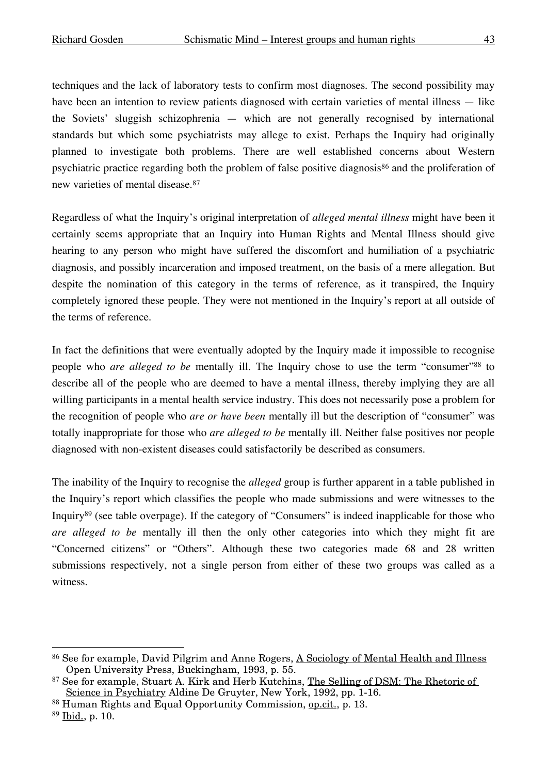techniques and the lack of laboratory tests to confirm most diagnoses. The second possibility may have been an intention to review patients diagnosed with certain varieties of mental illness — like the Soviets' sluggish schizophrenia — which are not generally recognised by international standards but which some psychiatrists may allege to exist. Perhaps the Inquiry had originally planned to investigate both problems. There are well established concerns about Western psychiatric practice regarding both the problem of false positive diagnosis<sup>86</sup> and the proliferation of new varieties of mental disease.87

Regardless of what the Inquiry's original interpretation of *alleged mental illness* might have been it certainly seems appropriate that an Inquiry into Human Rights and Mental Illness should give hearing to any person who might have suffered the discomfort and humiliation of a psychiatric diagnosis, and possibly incarceration and imposed treatment, on the basis of a mere allegation. But despite the nomination of this category in the terms of reference, as it transpired, the Inquiry completely ignored these people. They were not mentioned in the Inquiry's report at all outside of the terms of reference.

In fact the definitions that were eventually adopted by the Inquiry made it impossible to recognise people who *are alleged to be* mentally ill. The Inquiry chose to use the term "consumer"88 to describe all of the people who are deemed to have a mental illness, thereby implying they are all willing participants in a mental health service industry. This does not necessarily pose a problem for the recognition of people who *are or have been* mentally ill but the description of "consumer" was totally inappropriate for those who *are alleged to be* mentally ill. Neither false positives nor people diagnosed with non-existent diseases could satisfactorily be described as consumers.

The inability of the Inquiry to recognise the *alleged* group is further apparent in a table published in the Inquiry's report which classifies the people who made submissions and were witnesses to the Inquiry89 (see table overpage). If the category of "Consumers" is indeed inapplicable for those who *are alleged to be* mentally ill then the only other categories into which they might fit are "Concerned citizens" or "Others". Although these two categories made 68 and 28 written submissions respectively, not a single person from either of these two groups was called as a witness.

 <sup>86</sup> See for example, David Pilgrim and Anne Rogers, <sup>A</sup> Sociology of Mental Health and Illness Open University Press, Buckingham, 1993, p. 55.

<sup>87</sup> See for example, Stuart A. Kirk and Herb Kutchins, The Selling of DSM: The Rhetoric of Science in Psychiatry Aldine De Gruyter, New York, 1992, pp. 1-16.

<sup>88</sup> Human Rights and Equal Opportunity Commission, op.cit., p. 13.

 $89$  Ibid., p. 10.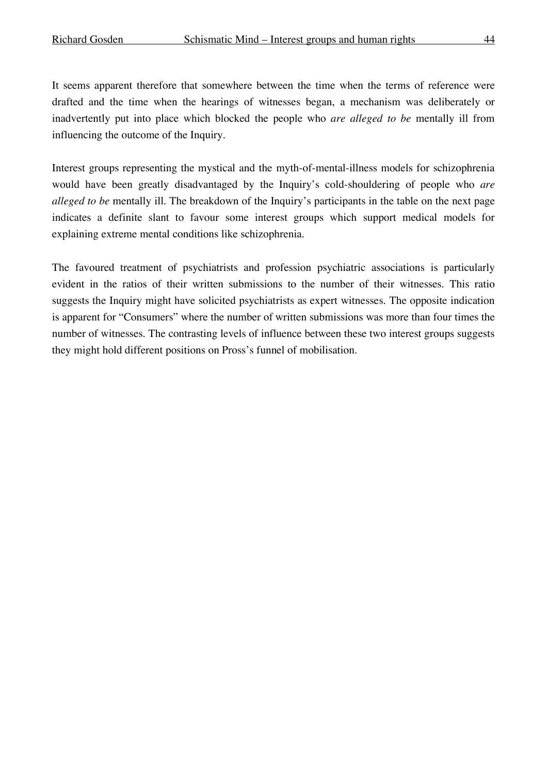It seems apparent therefore that somewhere between the time when the terms of reference were drafted and the time when the hearings of witnesses began, a mechanism was deliberately or inadvertently put into place which blocked the people who *are alleged to be* mentally ill from influencing the outcome of the Inquiry.

Interest groups representing the mystical and the myth-of-mental-illness models for schizophrenia would have been greatly disadvantaged by the Inquiry's cold-shouldering of people who *are alleged to be* mentally ill. The breakdown of the Inquiry's participants in the table on the next page indicates a definite slant to favour some interest groups which support medical models for explaining extreme mental conditions like schizophrenia.

The favoured treatment of psychiatrists and profession psychiatric associations is particularly evident in the ratios of their written submissions to the number of their witnesses. This ratio suggests the Inquiry might have solicited psychiatrists as expert witnesses. The opposite indication is apparent for "Consumers" where the number of written submissions was more than four times the number of witnesses. The contrasting levels of influence between these two interest groups suggests they might hold different positions on Pross's funnel of mobilisation.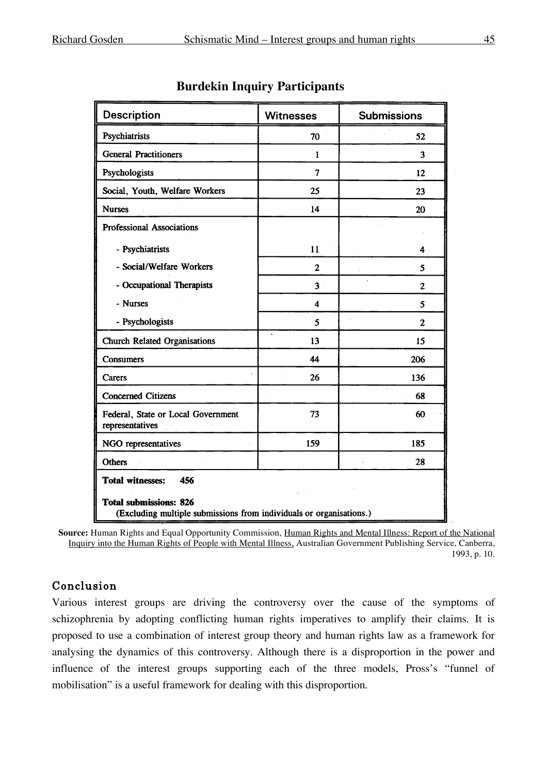| <b>Description</b>                                                                                   | <b>Witnesses</b>    | <b>Submissions</b> |  |  |
|------------------------------------------------------------------------------------------------------|---------------------|--------------------|--|--|
| Psychiatrists                                                                                        | 70                  | 52                 |  |  |
| <b>General Practitioners</b>                                                                         | $\mathbf{1}$        | $3 -$              |  |  |
| Psychologists                                                                                        | $\overline{7}$      | 12                 |  |  |
| Social, Youth, Welfare Workers                                                                       | 25                  | 23                 |  |  |
| <b>Nurses</b>                                                                                        | 14                  | 20                 |  |  |
| <b>Professional Associations</b>                                                                     |                     |                    |  |  |
| - Psychiatrists                                                                                      | 11                  | 4                  |  |  |
| - Social/Welfare Workers                                                                             | $\overline{2}$      | 5                  |  |  |
| - Occupational Therapists                                                                            | 3 <sup>1</sup>      | $\mathbf{2}$       |  |  |
| - Nurses                                                                                             | $\overline{\bf{4}}$ | 5                  |  |  |
| - Psychologists                                                                                      | 5                   | $\overline{2}$     |  |  |
| <b>Church Related Organisations</b>                                                                  | 13                  | 15                 |  |  |
| Consumers                                                                                            | 44                  | 206                |  |  |
| Carers                                                                                               | 26                  | 136                |  |  |
| <b>Concerned Citizens</b>                                                                            |                     | 68                 |  |  |
| Federal, State or Local Government<br>representatives                                                | 73                  | 60                 |  |  |
| NGO representatives                                                                                  | 159                 | 185                |  |  |
| <b>Others</b>                                                                                        |                     | 28                 |  |  |
| <b>Total witnesses:</b><br>456                                                                       |                     |                    |  |  |
| <b>Total submissions: 826</b><br>(Excluding multiple submissions from individuals or organisations.) |                     |                    |  |  |

#### **Burdekin Inquiry Participants**

**Source:** Human Rights and Equal Opportunity Commission, Human Rights and Mental Illness: Report of the National Inquiry into the Human Rights of People with Mental Illness, Australian Government Publishing Service, Canberra, 1993, p. 10.

## Conclusion

Various interest groups are driving the controversy over the cause of the symptoms of schizophrenia by adopting conflicting human rights imperatives to amplify their claims. It is proposed to use a combination of interest group theory and human rights law as a framework for analysing the dynamics of this controversy. Although there is a disproportion in the power and influence of the interest groups supporting each of the three models, Pross's "funnel of mobilisation" is a useful framework for dealing with this disproportion.